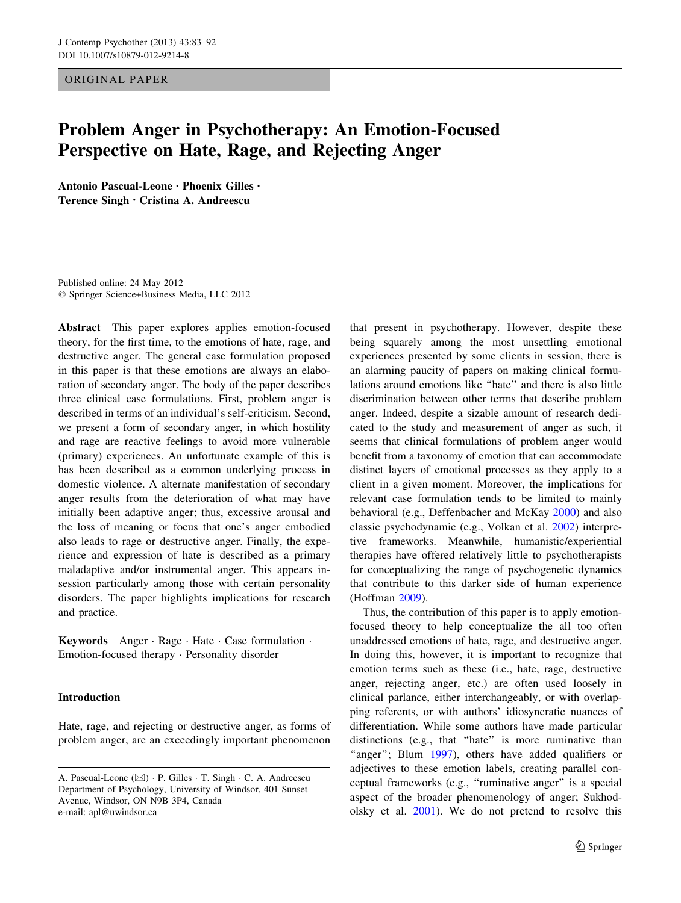## ORIGINAL PAPER

# Problem Anger in Psychotherapy: An Emotion-Focused Perspective on Hate, Rage, and Rejecting Anger

Antonio Pascual-Leone • Phoenix Gilles • Terence Singh • Cristina A. Andreescu

Published online: 24 May 2012 - Springer Science+Business Media, LLC 2012

Abstract This paper explores applies emotion-focused theory, for the first time, to the emotions of hate, rage, and destructive anger. The general case formulation proposed in this paper is that these emotions are always an elaboration of secondary anger. The body of the paper describes three clinical case formulations. First, problem anger is described in terms of an individual's self-criticism. Second, we present a form of secondary anger, in which hostility and rage are reactive feelings to avoid more vulnerable (primary) experiences. An unfortunate example of this is has been described as a common underlying process in domestic violence. A alternate manifestation of secondary anger results from the deterioration of what may have initially been adaptive anger; thus, excessive arousal and the loss of meaning or focus that one's anger embodied also leads to rage or destructive anger. Finally, the experience and expression of hate is described as a primary maladaptive and/or instrumental anger. This appears insession particularly among those with certain personality disorders. The paper highlights implications for research and practice.

Keywords Anger · Rage · Hate · Case formulation · Emotion-focused therapy - Personality disorder

## Introduction

Hate, rage, and rejecting or destructive anger, as forms of problem anger, are an exceedingly important phenomenon that present in psychotherapy. However, despite these being squarely among the most unsettling emotional experiences presented by some clients in session, there is an alarming paucity of papers on making clinical formulations around emotions like ''hate'' and there is also little discrimination between other terms that describe problem anger. Indeed, despite a sizable amount of research dedicated to the study and measurement of anger as such, it seems that clinical formulations of problem anger would benefit from a taxonomy of emotion that can accommodate distinct layers of emotional processes as they apply to a client in a given moment. Moreover, the implications for relevant case formulation tends to be limited to mainly behavioral (e.g., Deffenbacher and McKay [2000\)](#page-9-0) and also classic psychodynamic (e.g., Volkan et al. [2002\)](#page-9-0) interpretive frameworks. Meanwhile, humanistic/experiential therapies have offered relatively little to psychotherapists for conceptualizing the range of psychogenetic dynamics that contribute to this darker side of human experience (Hoffman [2009\)](#page-9-0).

Thus, the contribution of this paper is to apply emotionfocused theory to help conceptualize the all too often unaddressed emotions of hate, rage, and destructive anger. In doing this, however, it is important to recognize that emotion terms such as these (i.e., hate, rage, destructive anger, rejecting anger, etc.) are often used loosely in clinical parlance, either interchangeably, or with overlapping referents, or with authors' idiosyncratic nuances of differentiation. While some authors have made particular distinctions (e.g., that ''hate'' is more ruminative than "anger"; Blum [1997](#page-9-0)), others have added qualifiers or adjectives to these emotion labels, creating parallel conceptual frameworks (e.g., ''ruminative anger'' is a special aspect of the broader phenomenology of anger; Sukhodolsky et al. [2001](#page-9-0)). We do not pretend to resolve this

A. Pascual-Leone (⊠) · P. Gilles · T. Singh · C. A. Andreescu Department of Psychology, University of Windsor, 401 Sunset Avenue, Windsor, ON N9B 3P4, Canada e-mail: apl@uwindsor.ca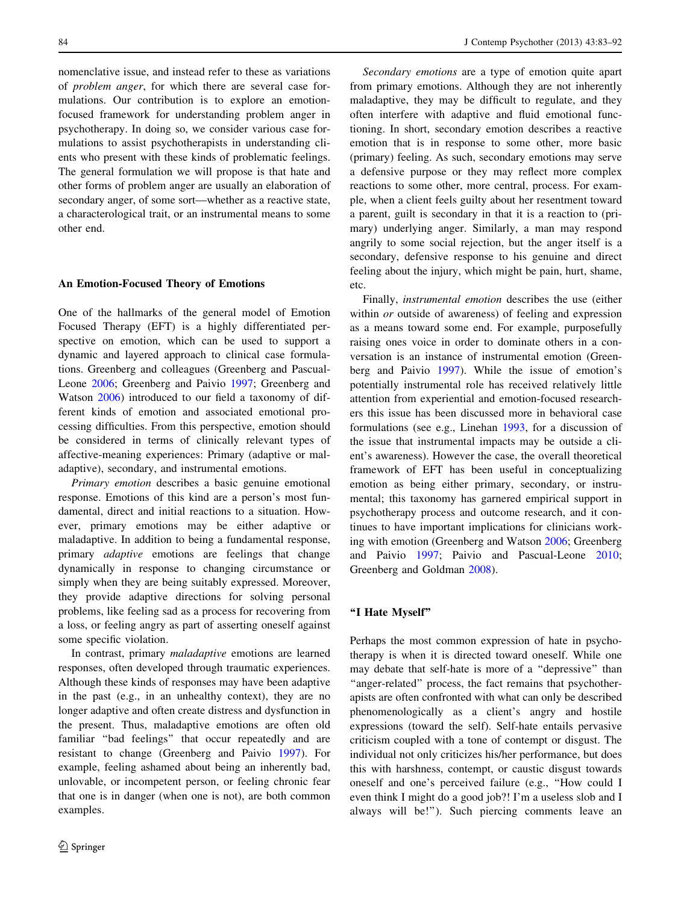nomenclative issue, and instead refer to these as variations of problem anger, for which there are several case formulations. Our contribution is to explore an emotionfocused framework for understanding problem anger in psychotherapy. In doing so, we consider various case formulations to assist psychotherapists in understanding clients who present with these kinds of problematic feelings. The general formulation we will propose is that hate and other forms of problem anger are usually an elaboration of secondary anger, of some sort—whether as a reactive state, a characterological trait, or an instrumental means to some other end.

# An Emotion-Focused Theory of Emotions

One of the hallmarks of the general model of Emotion Focused Therapy (EFT) is a highly differentiated perspective on emotion, which can be used to support a dynamic and layered approach to clinical case formulations. Greenberg and colleagues (Greenberg and Pascual-Leone [2006](#page-9-0); Greenberg and Paivio [1997](#page-9-0); Greenberg and Watson [2006](#page-9-0)) introduced to our field a taxonomy of different kinds of emotion and associated emotional processing difficulties. From this perspective, emotion should be considered in terms of clinically relevant types of affective-meaning experiences: Primary (adaptive or maladaptive), secondary, and instrumental emotions.

Primary emotion describes a basic genuine emotional response. Emotions of this kind are a person's most fundamental, direct and initial reactions to a situation. However, primary emotions may be either adaptive or maladaptive. In addition to being a fundamental response, primary adaptive emotions are feelings that change dynamically in response to changing circumstance or simply when they are being suitably expressed. Moreover, they provide adaptive directions for solving personal problems, like feeling sad as a process for recovering from a loss, or feeling angry as part of asserting oneself against some specific violation.

In contrast, primary maladaptive emotions are learned responses, often developed through traumatic experiences. Although these kinds of responses may have been adaptive in the past (e.g., in an unhealthy context), they are no longer adaptive and often create distress and dysfunction in the present. Thus, maladaptive emotions are often old familiar ''bad feelings'' that occur repeatedly and are resistant to change (Greenberg and Paivio [1997](#page-9-0)). For example, feeling ashamed about being an inherently bad, unlovable, or incompetent person, or feeling chronic fear that one is in danger (when one is not), are both common examples.

Secondary emotions are a type of emotion quite apart from primary emotions. Although they are not inherently maladaptive, they may be difficult to regulate, and they often interfere with adaptive and fluid emotional functioning. In short, secondary emotion describes a reactive emotion that is in response to some other, more basic (primary) feeling. As such, secondary emotions may serve a defensive purpose or they may reflect more complex reactions to some other, more central, process. For example, when a client feels guilty about her resentment toward a parent, guilt is secondary in that it is a reaction to (primary) underlying anger. Similarly, a man may respond angrily to some social rejection, but the anger itself is a secondary, defensive response to his genuine and direct feeling about the injury, which might be pain, hurt, shame, etc.

Finally, instrumental emotion describes the use (either within *or* outside of awareness) of feeling and expression as a means toward some end. For example, purposefully raising ones voice in order to dominate others in a conversation is an instance of instrumental emotion (Greenberg and Paivio [1997](#page-9-0)). While the issue of emotion's potentially instrumental role has received relatively little attention from experiential and emotion-focused researchers this issue has been discussed more in behavioral case formulations (see e.g., Linehan [1993](#page-9-0), for a discussion of the issue that instrumental impacts may be outside a client's awareness). However the case, the overall theoretical framework of EFT has been useful in conceptualizing emotion as being either primary, secondary, or instrumental; this taxonomy has garnered empirical support in psychotherapy process and outcome research, and it continues to have important implications for clinicians working with emotion (Greenberg and Watson [2006;](#page-9-0) Greenberg and Paivio [1997;](#page-9-0) Paivio and Pascual-Leone [2010](#page-9-0); Greenberg and Goldman [2008\)](#page-9-0).

#### ''I Hate Myself''

Perhaps the most common expression of hate in psychotherapy is when it is directed toward oneself. While one may debate that self-hate is more of a ''depressive'' than "anger-related" process, the fact remains that psychotherapists are often confronted with what can only be described phenomenologically as a client's angry and hostile expressions (toward the self). Self-hate entails pervasive criticism coupled with a tone of contempt or disgust. The individual not only criticizes his/her performance, but does this with harshness, contempt, or caustic disgust towards oneself and one's perceived failure (e.g., ''How could I even think I might do a good job?! I'm a useless slob and I always will be!''). Such piercing comments leave an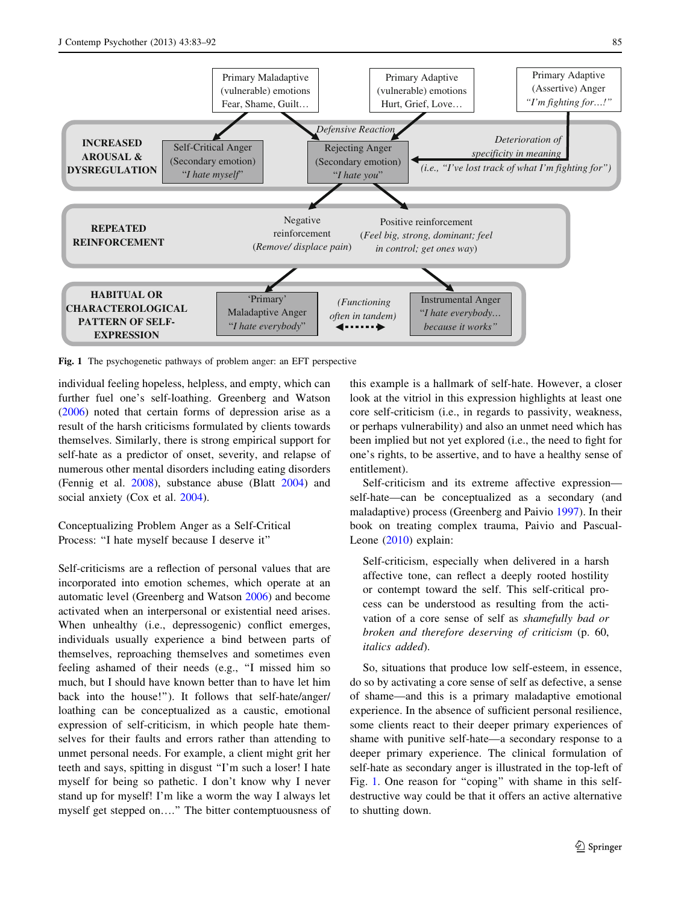<span id="page-2-0"></span>

Fig. 1 The psychogenetic pathways of problem anger: an EFT perspective

individual feeling hopeless, helpless, and empty, which can further fuel one's self-loathing. Greenberg and Watson [\(2006](#page-9-0)) noted that certain forms of depression arise as a result of the harsh criticisms formulated by clients towards themselves. Similarly, there is strong empirical support for self-hate as a predictor of onset, severity, and relapse of numerous other mental disorders including eating disorders (Fennig et al. [2008\)](#page-9-0), substance abuse (Blatt [2004](#page-9-0)) and social anxiety (Cox et al. [2004\)](#page-9-0).

Conceptualizing Problem Anger as a Self-Critical Process: ''I hate myself because I deserve it''

Self-criticisms are a reflection of personal values that are incorporated into emotion schemes, which operate at an automatic level (Greenberg and Watson [2006\)](#page-9-0) and become activated when an interpersonal or existential need arises. When unhealthy (i.e., depressogenic) conflict emerges, individuals usually experience a bind between parts of themselves, reproaching themselves and sometimes even feeling ashamed of their needs (e.g., ''I missed him so much, but I should have known better than to have let him back into the house!''). It follows that self-hate/anger/ loathing can be conceptualized as a caustic, emotional expression of self-criticism, in which people hate themselves for their faults and errors rather than attending to unmet personal needs. For example, a client might grit her teeth and says, spitting in disgust "I'm such a loser! I hate myself for being so pathetic. I don't know why I never stand up for myself! I'm like a worm the way I always let myself get stepped on….'' The bitter contemptuousness of this example is a hallmark of self-hate. However, a closer look at the vitriol in this expression highlights at least one core self-criticism (i.e., in regards to passivity, weakness, or perhaps vulnerability) and also an unmet need which has been implied but not yet explored (i.e., the need to fight for one's rights, to be assertive, and to have a healthy sense of entitlement).

Self-criticism and its extreme affective expression self-hate—can be conceptualized as a secondary (and maladaptive) process (Greenberg and Paivio [1997\)](#page-9-0). In their book on treating complex trauma, Paivio and Pascual-Leone ([2010\)](#page-9-0) explain:

Self-criticism, especially when delivered in a harsh affective tone, can reflect a deeply rooted hostility or contempt toward the self. This self-critical process can be understood as resulting from the activation of a core sense of self as shamefully bad or broken and therefore deserving of criticism (p. 60, italics added).

So, situations that produce low self-esteem, in essence, do so by activating a core sense of self as defective, a sense of shame—and this is a primary maladaptive emotional experience. In the absence of sufficient personal resilience, some clients react to their deeper primary experiences of shame with punitive self-hate—a secondary response to a deeper primary experience. The clinical formulation of self-hate as secondary anger is illustrated in the top-left of Fig. 1. One reason for "coping" with shame in this selfdestructive way could be that it offers an active alternative to shutting down.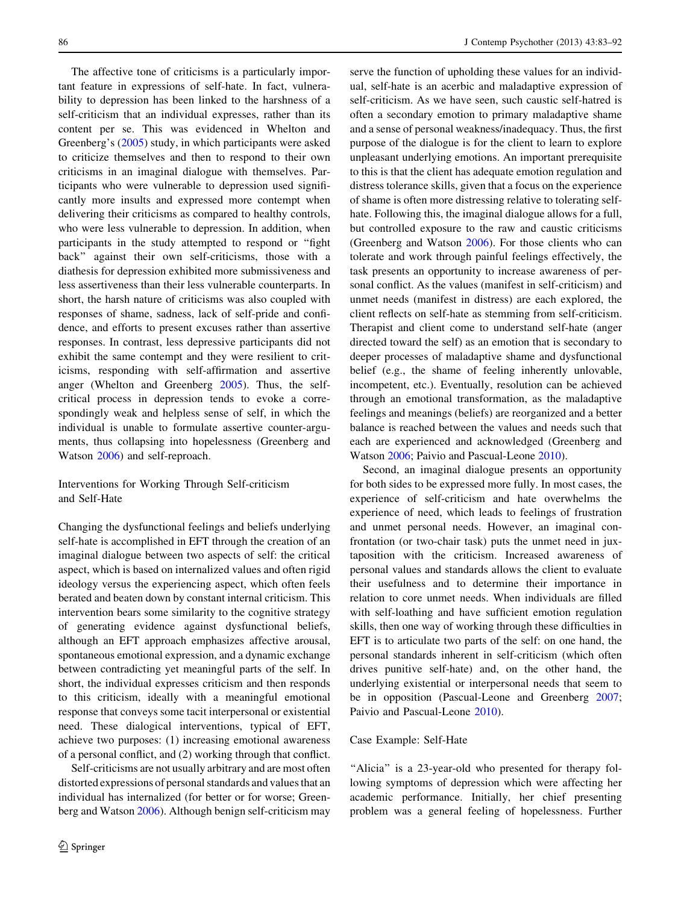The affective tone of criticisms is a particularly important feature in expressions of self-hate. In fact, vulnerability to depression has been linked to the harshness of a self-criticism that an individual expresses, rather than its content per se. This was evidenced in Whelton and Greenberg's [\(2005](#page-9-0)) study, in which participants were asked to criticize themselves and then to respond to their own criticisms in an imaginal dialogue with themselves. Participants who were vulnerable to depression used significantly more insults and expressed more contempt when delivering their criticisms as compared to healthy controls, who were less vulnerable to depression. In addition, when participants in the study attempted to respond or ''fight back'' against their own self-criticisms, those with a diathesis for depression exhibited more submissiveness and less assertiveness than their less vulnerable counterparts. In short, the harsh nature of criticisms was also coupled with responses of shame, sadness, lack of self-pride and confidence, and efforts to present excuses rather than assertive responses. In contrast, less depressive participants did not exhibit the same contempt and they were resilient to criticisms, responding with self-affirmation and assertive anger (Whelton and Greenberg [2005](#page-9-0)). Thus, the selfcritical process in depression tends to evoke a correspondingly weak and helpless sense of self, in which the individual is unable to formulate assertive counter-arguments, thus collapsing into hopelessness (Greenberg and Watson [2006\)](#page-9-0) and self-reproach.

Interventions for Working Through Self-criticism and Self-Hate

Changing the dysfunctional feelings and beliefs underlying self-hate is accomplished in EFT through the creation of an imaginal dialogue between two aspects of self: the critical aspect, which is based on internalized values and often rigid ideology versus the experiencing aspect, which often feels berated and beaten down by constant internal criticism. This intervention bears some similarity to the cognitive strategy of generating evidence against dysfunctional beliefs, although an EFT approach emphasizes affective arousal, spontaneous emotional expression, and a dynamic exchange between contradicting yet meaningful parts of the self. In short, the individual expresses criticism and then responds to this criticism, ideally with a meaningful emotional response that conveys some tacit interpersonal or existential need. These dialogical interventions, typical of EFT, achieve two purposes: (1) increasing emotional awareness of a personal conflict, and (2) working through that conflict.

Self-criticisms are not usually arbitrary and are most often distorted expressions of personal standards and values that an individual has internalized (for better or for worse; Greenberg and Watson [2006\)](#page-9-0). Although benign self-criticism may serve the function of upholding these values for an individual, self-hate is an acerbic and maladaptive expression of self-criticism. As we have seen, such caustic self-hatred is often a secondary emotion to primary maladaptive shame and a sense of personal weakness/inadequacy. Thus, the first purpose of the dialogue is for the client to learn to explore unpleasant underlying emotions. An important prerequisite to this is that the client has adequate emotion regulation and distress tolerance skills, given that a focus on the experience of shame is often more distressing relative to tolerating selfhate. Following this, the imaginal dialogue allows for a full, but controlled exposure to the raw and caustic criticisms (Greenberg and Watson [2006\)](#page-9-0). For those clients who can tolerate and work through painful feelings effectively, the task presents an opportunity to increase awareness of personal conflict. As the values (manifest in self-criticism) and unmet needs (manifest in distress) are each explored, the client reflects on self-hate as stemming from self-criticism. Therapist and client come to understand self-hate (anger directed toward the self) as an emotion that is secondary to deeper processes of maladaptive shame and dysfunctional belief (e.g., the shame of feeling inherently unlovable, incompetent, etc.). Eventually, resolution can be achieved through an emotional transformation, as the maladaptive feelings and meanings (beliefs) are reorganized and a better balance is reached between the values and needs such that each are experienced and acknowledged (Greenberg and Watson [2006](#page-9-0); Paivio and Pascual-Leone [2010\)](#page-9-0).

Second, an imaginal dialogue presents an opportunity for both sides to be expressed more fully. In most cases, the experience of self-criticism and hate overwhelms the experience of need, which leads to feelings of frustration and unmet personal needs. However, an imaginal confrontation (or two-chair task) puts the unmet need in juxtaposition with the criticism. Increased awareness of personal values and standards allows the client to evaluate their usefulness and to determine their importance in relation to core unmet needs. When individuals are filled with self-loathing and have sufficient emotion regulation skills, then one way of working through these difficulties in EFT is to articulate two parts of the self: on one hand, the personal standards inherent in self-criticism (which often drives punitive self-hate) and, on the other hand, the underlying existential or interpersonal needs that seem to be in opposition (Pascual-Leone and Greenberg [2007](#page-9-0); Paivio and Pascual-Leone [2010](#page-9-0)).

## Case Example: Self-Hate

"Alicia" is a 23-year-old who presented for therapy following symptoms of depression which were affecting her academic performance. Initially, her chief presenting problem was a general feeling of hopelessness. Further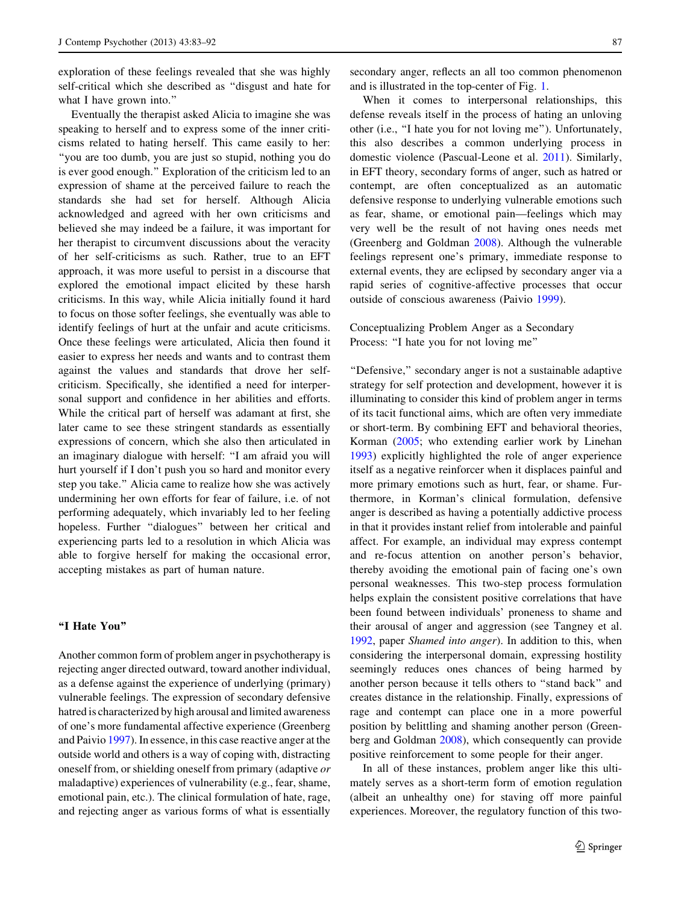exploration of these feelings revealed that she was highly self-critical which she described as ''disgust and hate for what I have grown into.''

Eventually the therapist asked Alicia to imagine she was speaking to herself and to express some of the inner criticisms related to hating herself. This came easily to her: ''you are too dumb, you are just so stupid, nothing you do is ever good enough.'' Exploration of the criticism led to an expression of shame at the perceived failure to reach the standards she had set for herself. Although Alicia acknowledged and agreed with her own criticisms and believed she may indeed be a failure, it was important for her therapist to circumvent discussions about the veracity of her self-criticisms as such. Rather, true to an EFT approach, it was more useful to persist in a discourse that explored the emotional impact elicited by these harsh criticisms. In this way, while Alicia initially found it hard to focus on those softer feelings, she eventually was able to identify feelings of hurt at the unfair and acute criticisms. Once these feelings were articulated, Alicia then found it easier to express her needs and wants and to contrast them against the values and standards that drove her selfcriticism. Specifically, she identified a need for interpersonal support and confidence in her abilities and efforts. While the critical part of herself was adamant at first, she later came to see these stringent standards as essentially expressions of concern, which she also then articulated in an imaginary dialogue with herself: ''I am afraid you will hurt yourself if I don't push you so hard and monitor every step you take.'' Alicia came to realize how she was actively undermining her own efforts for fear of failure, i.e. of not performing adequately, which invariably led to her feeling hopeless. Further ''dialogues'' between her critical and experiencing parts led to a resolution in which Alicia was able to forgive herself for making the occasional error, accepting mistakes as part of human nature.

## ''I Hate You''

Another common form of problem anger in psychotherapy is rejecting anger directed outward, toward another individual, as a defense against the experience of underlying (primary) vulnerable feelings. The expression of secondary defensive hatred is characterized by high arousal and limited awareness of one's more fundamental affective experience (Greenberg and Paivio [1997](#page-9-0)). In essence, in this case reactive anger at the outside world and others is a way of coping with, distracting oneself from, or shielding oneself from primary (adaptive or maladaptive) experiences of vulnerability (e.g., fear, shame, emotional pain, etc.). The clinical formulation of hate, rage, and rejecting anger as various forms of what is essentially secondary anger, reflects an all too common phenomenon and is illustrated in the top-center of Fig. [1.](#page-2-0)

When it comes to interpersonal relationships, this defense reveals itself in the process of hating an unloving other (i.e., ''I hate you for not loving me''). Unfortunately, this also describes a common underlying process in domestic violence (Pascual-Leone et al. [2011\)](#page-9-0). Similarly, in EFT theory, secondary forms of anger, such as hatred or contempt, are often conceptualized as an automatic defensive response to underlying vulnerable emotions such as fear, shame, or emotional pain—feelings which may very well be the result of not having ones needs met (Greenberg and Goldman [2008\)](#page-9-0). Although the vulnerable feelings represent one's primary, immediate response to external events, they are eclipsed by secondary anger via a rapid series of cognitive-affective processes that occur outside of conscious awareness (Paivio [1999](#page-9-0)).

Conceptualizing Problem Anger as a Secondary Process: ''I hate you for not loving me''

''Defensive,'' secondary anger is not a sustainable adaptive strategy for self protection and development, however it is illuminating to consider this kind of problem anger in terms of its tacit functional aims, which are often very immediate or short-term. By combining EFT and behavioral theories, Korman ([2005;](#page-9-0) who extending earlier work by Linehan [1993](#page-9-0)) explicitly highlighted the role of anger experience itself as a negative reinforcer when it displaces painful and more primary emotions such as hurt, fear, or shame. Furthermore, in Korman's clinical formulation, defensive anger is described as having a potentially addictive process in that it provides instant relief from intolerable and painful affect. For example, an individual may express contempt and re-focus attention on another person's behavior, thereby avoiding the emotional pain of facing one's own personal weaknesses. This two-step process formulation helps explain the consistent positive correlations that have been found between individuals' proneness to shame and their arousal of anger and aggression (see Tangney et al. [1992](#page-9-0), paper Shamed into anger). In addition to this, when considering the interpersonal domain, expressing hostility seemingly reduces ones chances of being harmed by another person because it tells others to ''stand back'' and creates distance in the relationship. Finally, expressions of rage and contempt can place one in a more powerful position by belittling and shaming another person (Greenberg and Goldman [2008\)](#page-9-0), which consequently can provide positive reinforcement to some people for their anger.

In all of these instances, problem anger like this ultimately serves as a short-term form of emotion regulation (albeit an unhealthy one) for staving off more painful experiences. Moreover, the regulatory function of this two-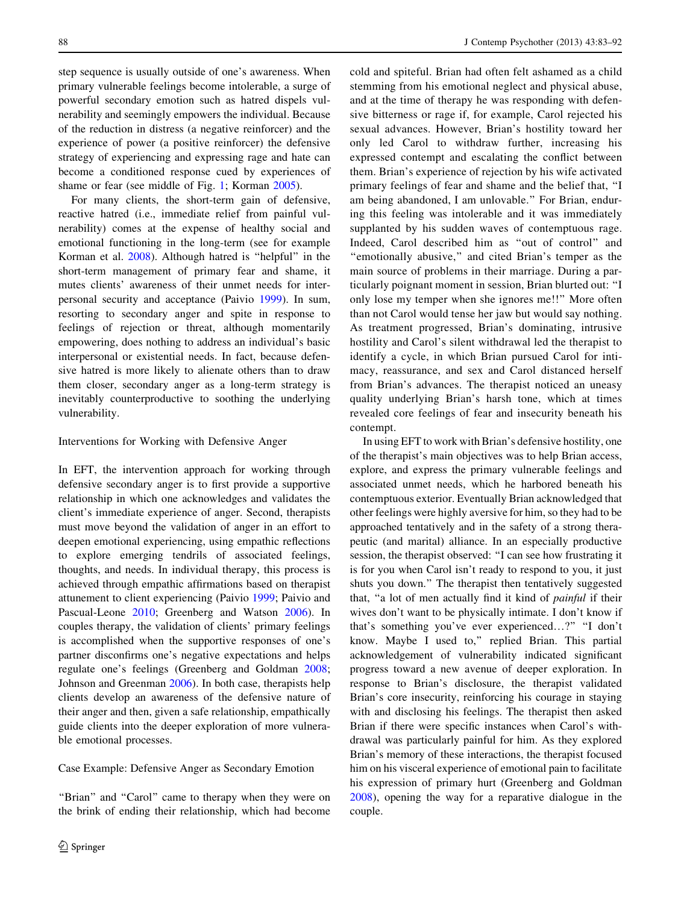step sequence is usually outside of one's awareness. When primary vulnerable feelings become intolerable, a surge of powerful secondary emotion such as hatred dispels vulnerability and seemingly empowers the individual. Because of the reduction in distress (a negative reinforcer) and the experience of power (a positive reinforcer) the defensive strategy of experiencing and expressing rage and hate can become a conditioned response cued by experiences of shame or fear (see middle of Fig. [1;](#page-2-0) Korman [2005\)](#page-9-0).

For many clients, the short-term gain of defensive, reactive hatred (i.e., immediate relief from painful vulnerability) comes at the expense of healthy social and emotional functioning in the long-term (see for example Korman et al. [2008\)](#page-9-0). Although hatred is ''helpful'' in the short-term management of primary fear and shame, it mutes clients' awareness of their unmet needs for interpersonal security and acceptance (Paivio [1999\)](#page-9-0). In sum, resorting to secondary anger and spite in response to feelings of rejection or threat, although momentarily empowering, does nothing to address an individual's basic interpersonal or existential needs. In fact, because defensive hatred is more likely to alienate others than to draw them closer, secondary anger as a long-term strategy is inevitably counterproductive to soothing the underlying vulnerability.

## Interventions for Working with Defensive Anger

In EFT, the intervention approach for working through defensive secondary anger is to first provide a supportive relationship in which one acknowledges and validates the client's immediate experience of anger. Second, therapists must move beyond the validation of anger in an effort to deepen emotional experiencing, using empathic reflections to explore emerging tendrils of associated feelings, thoughts, and needs. In individual therapy, this process is achieved through empathic affirmations based on therapist attunement to client experiencing (Paivio [1999;](#page-9-0) Paivio and Pascual-Leone [2010;](#page-9-0) Greenberg and Watson [2006](#page-9-0)). In couples therapy, the validation of clients' primary feelings is accomplished when the supportive responses of one's partner disconfirms one's negative expectations and helps regulate one's feelings (Greenberg and Goldman [2008](#page-9-0); Johnson and Greenman [2006](#page-9-0)). In both case, therapists help clients develop an awareness of the defensive nature of their anger and then, given a safe relationship, empathically guide clients into the deeper exploration of more vulnerable emotional processes.

## Case Example: Defensive Anger as Secondary Emotion

"Brian" and "Carol" came to therapy when they were on the brink of ending their relationship, which had become cold and spiteful. Brian had often felt ashamed as a child stemming from his emotional neglect and physical abuse, and at the time of therapy he was responding with defensive bitterness or rage if, for example, Carol rejected his sexual advances. However, Brian's hostility toward her only led Carol to withdraw further, increasing his expressed contempt and escalating the conflict between them. Brian's experience of rejection by his wife activated primary feelings of fear and shame and the belief that, ''I am being abandoned, I am unlovable.'' For Brian, enduring this feeling was intolerable and it was immediately supplanted by his sudden waves of contemptuous rage. Indeed, Carol described him as ''out of control'' and "emotionally abusive," and cited Brian's temper as the main source of problems in their marriage. During a particularly poignant moment in session, Brian blurted out: ''I only lose my temper when she ignores me!!'' More often than not Carol would tense her jaw but would say nothing. As treatment progressed, Brian's dominating, intrusive hostility and Carol's silent withdrawal led the therapist to identify a cycle, in which Brian pursued Carol for intimacy, reassurance, and sex and Carol distanced herself from Brian's advances. The therapist noticed an uneasy quality underlying Brian's harsh tone, which at times revealed core feelings of fear and insecurity beneath his contempt.

In using EFT to work with Brian's defensive hostility, one of the therapist's main objectives was to help Brian access, explore, and express the primary vulnerable feelings and associated unmet needs, which he harbored beneath his contemptuous exterior. Eventually Brian acknowledged that other feelings were highly aversive for him, so they had to be approached tentatively and in the safety of a strong therapeutic (and marital) alliance. In an especially productive session, the therapist observed: ''I can see how frustrating it is for you when Carol isn't ready to respond to you, it just shuts you down.'' The therapist then tentatively suggested that, ''a lot of men actually find it kind of painful if their wives don't want to be physically intimate. I don't know if that's something you've ever experienced…?'' ''I don't know. Maybe I used to,'' replied Brian. This partial acknowledgement of vulnerability indicated significant progress toward a new avenue of deeper exploration. In response to Brian's disclosure, the therapist validated Brian's core insecurity, reinforcing his courage in staying with and disclosing his feelings. The therapist then asked Brian if there were specific instances when Carol's withdrawal was particularly painful for him. As they explored Brian's memory of these interactions, the therapist focused him on his visceral experience of emotional pain to facilitate his expression of primary hurt (Greenberg and Goldman [2008](#page-9-0)), opening the way for a reparative dialogue in the couple.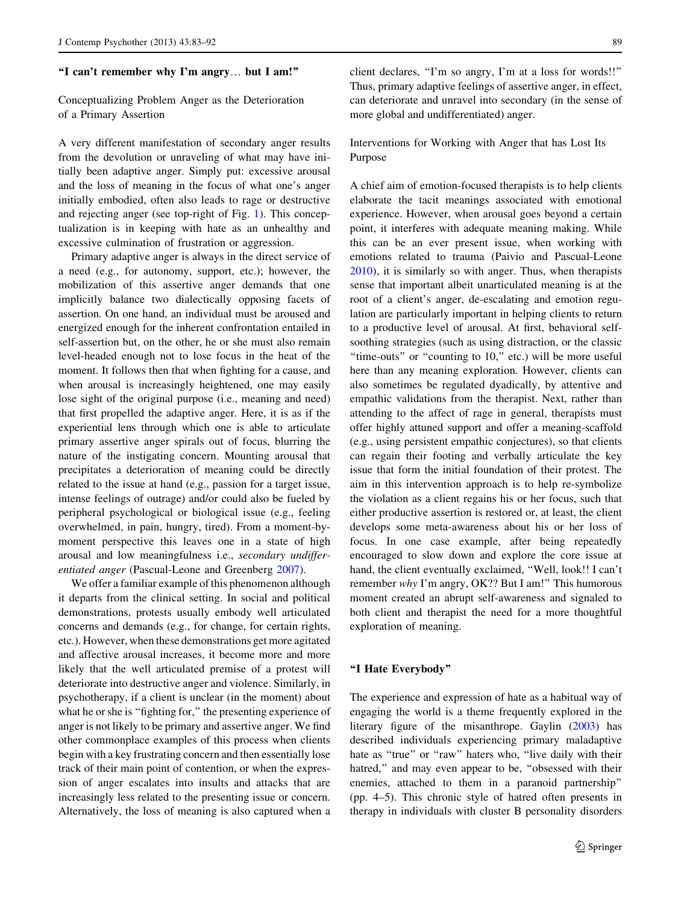#### ''I can't remember why I'm angry… but I am!''

Conceptualizing Problem Anger as the Deterioration of a Primary Assertion

A very different manifestation of secondary anger results from the devolution or unraveling of what may have initially been adaptive anger. Simply put: excessive arousal and the loss of meaning in the focus of what one's anger initially embodied, often also leads to rage or destructive and rejecting anger (see top-right of Fig. [1\)](#page-2-0). This conceptualization is in keeping with hate as an unhealthy and excessive culmination of frustration or aggression.

Primary adaptive anger is always in the direct service of a need (e.g., for autonomy, support, etc.); however, the mobilization of this assertive anger demands that one implicitly balance two dialectically opposing facets of assertion. On one hand, an individual must be aroused and energized enough for the inherent confrontation entailed in self-assertion but, on the other, he or she must also remain level-headed enough not to lose focus in the heat of the moment. It follows then that when fighting for a cause, and when arousal is increasingly heightened, one may easily lose sight of the original purpose (i.e., meaning and need) that first propelled the adaptive anger. Here, it is as if the experiential lens through which one is able to articulate primary assertive anger spirals out of focus, blurring the nature of the instigating concern. Mounting arousal that precipitates a deterioration of meaning could be directly related to the issue at hand (e.g., passion for a target issue, intense feelings of outrage) and/or could also be fueled by peripheral psychological or biological issue (e.g., feeling overwhelmed, in pain, hungry, tired). From a moment-bymoment perspective this leaves one in a state of high arousal and low meaningfulness i.e., secondary undifferentiated anger (Pascual-Leone and Greenberg [2007](#page-9-0)).

We offer a familiar example of this phenomenon although it departs from the clinical setting. In social and political demonstrations, protests usually embody well articulated concerns and demands (e.g., for change, for certain rights, etc.). However, when these demonstrations get more agitated and affective arousal increases, it become more and more likely that the well articulated premise of a protest will deteriorate into destructive anger and violence. Similarly, in psychotherapy, if a client is unclear (in the moment) about what he or she is "fighting for," the presenting experience of anger is not likely to be primary and assertive anger. We find other commonplace examples of this process when clients begin with a key frustrating concern and then essentially lose track of their main point of contention, or when the expression of anger escalates into insults and attacks that are increasingly less related to the presenting issue or concern. Alternatively, the loss of meaning is also captured when a client declares, "I'm so angry, I'm at a loss for words!!" Thus, primary adaptive feelings of assertive anger, in effect, can deteriorate and unravel into secondary (in the sense of more global and undifferentiated) anger.

Interventions for Working with Anger that has Lost Its Purpose

A chief aim of emotion-focused therapists is to help clients elaborate the tacit meanings associated with emotional experience. However, when arousal goes beyond a certain point, it interferes with adequate meaning making. While this can be an ever present issue, when working with emotions related to trauma (Paivio and Pascual-Leone [2010](#page-9-0)), it is similarly so with anger. Thus, when therapists sense that important albeit unarticulated meaning is at the root of a client's anger, de-escalating and emotion regulation are particularly important in helping clients to return to a productive level of arousal. At first, behavioral selfsoothing strategies (such as using distraction, or the classic "time-outs" or "counting to 10," etc.) will be more useful here than any meaning exploration. However, clients can also sometimes be regulated dyadically, by attentive and empathic validations from the therapist. Next, rather than attending to the affect of rage in general, therapists must offer highly attuned support and offer a meaning-scaffold (e.g., using persistent empathic conjectures), so that clients can regain their footing and verbally articulate the key issue that form the initial foundation of their protest. The aim in this intervention approach is to help re-symbolize the violation as a client regains his or her focus, such that either productive assertion is restored or, at least, the client develops some meta-awareness about his or her loss of focus. In one case example, after being repeatedly encouraged to slow down and explore the core issue at hand, the client eventually exclaimed, ''Well, look!! I can't remember why I'm angry, OK?? But I am!" This humorous moment created an abrupt self-awareness and signaled to both client and therapist the need for a more thoughtful exploration of meaning.

#### ''I Hate Everybody''

The experience and expression of hate as a habitual way of engaging the world is a theme frequently explored in the literary figure of the misanthrope. Gaylin [\(2003](#page-9-0)) has described individuals experiencing primary maladaptive hate as "true" or "raw" haters who, "live daily with their hatred," and may even appear to be, "obsessed with their enemies, attached to them in a paranoid partnership'' (pp. 4–5). This chronic style of hatred often presents in therapy in individuals with cluster B personality disorders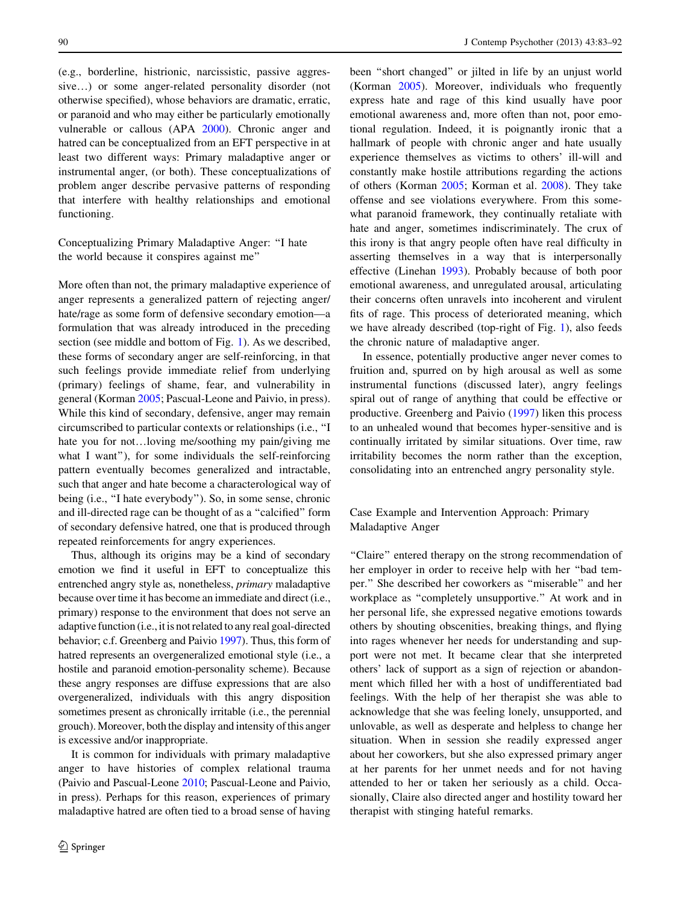(e.g., borderline, histrionic, narcissistic, passive aggressive…) or some anger-related personality disorder (not otherwise specified), whose behaviors are dramatic, erratic, or paranoid and who may either be particularly emotionally vulnerable or callous (APA [2000\)](#page-9-0). Chronic anger and hatred can be conceptualized from an EFT perspective in at least two different ways: Primary maladaptive anger or instrumental anger, (or both). These conceptualizations of problem anger describe pervasive patterns of responding that interfere with healthy relationships and emotional functioning.

Conceptualizing Primary Maladaptive Anger: ''I hate the world because it conspires against me''

More often than not, the primary maladaptive experience of anger represents a generalized pattern of rejecting anger/ hate/rage as some form of defensive secondary emotion—a formulation that was already introduced in the preceding section (see middle and bottom of Fig. [1\)](#page-2-0). As we described, these forms of secondary anger are self-reinforcing, in that such feelings provide immediate relief from underlying (primary) feelings of shame, fear, and vulnerability in general (Korman [2005;](#page-9-0) Pascual-Leone and Paivio, in press). While this kind of secondary, defensive, anger may remain circumscribed to particular contexts or relationships (i.e., ''I hate you for not…loving me/soothing my pain/giving me what I want''), for some individuals the self-reinforcing pattern eventually becomes generalized and intractable, such that anger and hate become a characterological way of being (i.e., "I hate everybody"). So, in some sense, chronic and ill-directed rage can be thought of as a ''calcified'' form of secondary defensive hatred, one that is produced through repeated reinforcements for angry experiences.

Thus, although its origins may be a kind of secondary emotion we find it useful in EFT to conceptualize this entrenched angry style as, nonetheless, primary maladaptive because over time it has become an immediate and direct (i.e., primary) response to the environment that does not serve an adaptive function (i.e., it is not related to any real goal-directed behavior; c.f. Greenberg and Paivio [1997](#page-9-0)). Thus, this form of hatred represents an overgeneralized emotional style (i.e., a hostile and paranoid emotion-personality scheme). Because these angry responses are diffuse expressions that are also overgeneralized, individuals with this angry disposition sometimes present as chronically irritable (i.e., the perennial grouch). Moreover, both the display and intensity of this anger is excessive and/or inappropriate.

It is common for individuals with primary maladaptive anger to have histories of complex relational trauma (Paivio and Pascual-Leone [2010;](#page-9-0) Pascual-Leone and Paivio, in press). Perhaps for this reason, experiences of primary maladaptive hatred are often tied to a broad sense of having been ''short changed'' or jilted in life by an unjust world (Korman [2005\)](#page-9-0). Moreover, individuals who frequently express hate and rage of this kind usually have poor emotional awareness and, more often than not, poor emotional regulation. Indeed, it is poignantly ironic that a hallmark of people with chronic anger and hate usually experience themselves as victims to others' ill-will and constantly make hostile attributions regarding the actions of others (Korman [2005](#page-9-0); Korman et al. [2008\)](#page-9-0). They take offense and see violations everywhere. From this somewhat paranoid framework, they continually retaliate with hate and anger, sometimes indiscriminately. The crux of this irony is that angry people often have real difficulty in asserting themselves in a way that is interpersonally effective (Linehan [1993\)](#page-9-0). Probably because of both poor emotional awareness, and unregulated arousal, articulating their concerns often unravels into incoherent and virulent fits of rage. This process of deteriorated meaning, which we have already described (top-right of Fig. [1\)](#page-2-0), also feeds the chronic nature of maladaptive anger.

In essence, potentially productive anger never comes to fruition and, spurred on by high arousal as well as some instrumental functions (discussed later), angry feelings spiral out of range of anything that could be effective or productive. Greenberg and Paivio [\(1997](#page-9-0)) liken this process to an unhealed wound that becomes hyper-sensitive and is continually irritated by similar situations. Over time, raw irritability becomes the norm rather than the exception, consolidating into an entrenched angry personality style.

# Case Example and Intervention Approach: Primary Maladaptive Anger

''Claire'' entered therapy on the strong recommendation of her employer in order to receive help with her ''bad temper.'' She described her coworkers as ''miserable'' and her workplace as ''completely unsupportive.'' At work and in her personal life, she expressed negative emotions towards others by shouting obscenities, breaking things, and flying into rages whenever her needs for understanding and support were not met. It became clear that she interpreted others' lack of support as a sign of rejection or abandonment which filled her with a host of undifferentiated bad feelings. With the help of her therapist she was able to acknowledge that she was feeling lonely, unsupported, and unlovable, as well as desperate and helpless to change her situation. When in session she readily expressed anger about her coworkers, but she also expressed primary anger at her parents for her unmet needs and for not having attended to her or taken her seriously as a child. Occasionally, Claire also directed anger and hostility toward her therapist with stinging hateful remarks.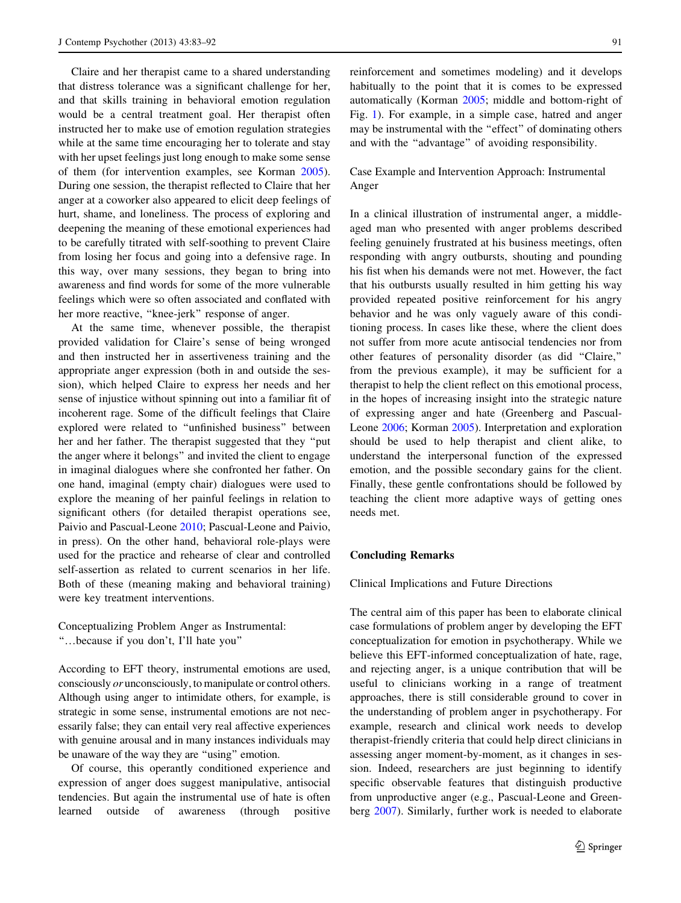Claire and her therapist came to a shared understanding that distress tolerance was a significant challenge for her, and that skills training in behavioral emotion regulation would be a central treatment goal. Her therapist often instructed her to make use of emotion regulation strategies while at the same time encouraging her to tolerate and stay with her upset feelings just long enough to make some sense of them (for intervention examples, see Korman [2005](#page-9-0)). During one session, the therapist reflected to Claire that her anger at a coworker also appeared to elicit deep feelings of hurt, shame, and loneliness. The process of exploring and deepening the meaning of these emotional experiences had to be carefully titrated with self-soothing to prevent Claire from losing her focus and going into a defensive rage. In this way, over many sessions, they began to bring into awareness and find words for some of the more vulnerable feelings which were so often associated and conflated with her more reactive, ''knee-jerk'' response of anger.

At the same time, whenever possible, the therapist provided validation for Claire's sense of being wronged and then instructed her in assertiveness training and the appropriate anger expression (both in and outside the session), which helped Claire to express her needs and her sense of injustice without spinning out into a familiar fit of incoherent rage. Some of the difficult feelings that Claire explored were related to ''unfinished business'' between her and her father. The therapist suggested that they ''put the anger where it belongs'' and invited the client to engage in imaginal dialogues where she confronted her father. On one hand, imaginal (empty chair) dialogues were used to explore the meaning of her painful feelings in relation to significant others (for detailed therapist operations see, Paivio and Pascual-Leone [2010](#page-9-0); Pascual-Leone and Paivio, in press). On the other hand, behavioral role-plays were used for the practice and rehearse of clear and controlled self-assertion as related to current scenarios in her life. Both of these (meaning making and behavioral training) were key treatment interventions.

Conceptualizing Problem Anger as Instrumental: ''…because if you don't, I'll hate you''

According to EFT theory, instrumental emotions are used, consciously or unconsciously, to manipulate or control others. Although using anger to intimidate others, for example, is strategic in some sense, instrumental emotions are not necessarily false; they can entail very real affective experiences with genuine arousal and in many instances individuals may be unaware of the way they are ''using'' emotion.

Of course, this operantly conditioned experience and expression of anger does suggest manipulative, antisocial tendencies. But again the instrumental use of hate is often learned outside of awareness (through positive reinforcement and sometimes modeling) and it develops habitually to the point that it is comes to be expressed automatically (Korman [2005;](#page-9-0) middle and bottom-right of Fig. [1](#page-2-0)). For example, in a simple case, hatred and anger may be instrumental with the ''effect'' of dominating others and with the ''advantage'' of avoiding responsibility.

Case Example and Intervention Approach: Instrumental Anger

In a clinical illustration of instrumental anger, a middleaged man who presented with anger problems described feeling genuinely frustrated at his business meetings, often responding with angry outbursts, shouting and pounding his fist when his demands were not met. However, the fact that his outbursts usually resulted in him getting his way provided repeated positive reinforcement for his angry behavior and he was only vaguely aware of this conditioning process. In cases like these, where the client does not suffer from more acute antisocial tendencies nor from other features of personality disorder (as did ''Claire,'' from the previous example), it may be sufficient for a therapist to help the client reflect on this emotional process, in the hopes of increasing insight into the strategic nature of expressing anger and hate (Greenberg and Pascual-Leone [2006;](#page-9-0) Korman [2005](#page-9-0)). Interpretation and exploration should be used to help therapist and client alike, to understand the interpersonal function of the expressed emotion, and the possible secondary gains for the client. Finally, these gentle confrontations should be followed by teaching the client more adaptive ways of getting ones needs met.

# Concluding Remarks

Clinical Implications and Future Directions

The central aim of this paper has been to elaborate clinical case formulations of problem anger by developing the EFT conceptualization for emotion in psychotherapy. While we believe this EFT-informed conceptualization of hate, rage, and rejecting anger, is a unique contribution that will be useful to clinicians working in a range of treatment approaches, there is still considerable ground to cover in the understanding of problem anger in psychotherapy. For example, research and clinical work needs to develop therapist-friendly criteria that could help direct clinicians in assessing anger moment-by-moment, as it changes in session. Indeed, researchers are just beginning to identify specific observable features that distinguish productive from unproductive anger (e.g., Pascual-Leone and Greenberg [2007](#page-9-0)). Similarly, further work is needed to elaborate